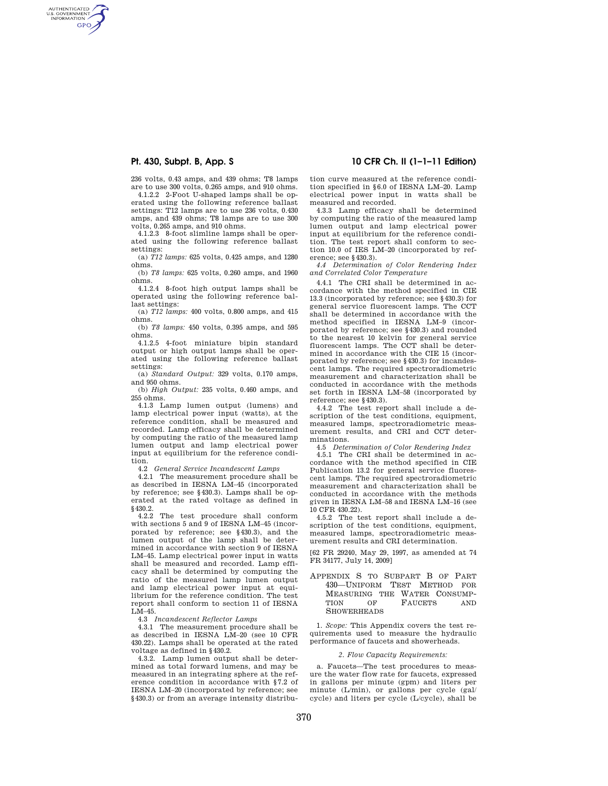AUTHENTICATED<br>U.S. GOVERNMENT<br>INFORMATION GPO

> 236 volts, 0.43 amps, and 439 ohms; T8 lamps are to use 300 volts, 0.265 amps, and 910 ohms.

> 4.1.2.2 2-Foot U-shaped lamps shall be operated using the following reference ballast settings: T12 lamps are to use 236 volts, 0.430 amps, and 439 ohms; T8 lamps are to use 300 volts, 0.265 amps, and 910 ohms.

> 4.1.2.3 8-foot slimline lamps shall be operated using the following reference ballast settings:

> (a) *T12 lamps:* 625 volts, 0.425 amps, and 1280 ohms.

> (b) *T8 lamps:* 625 volts, 0.260 amps, and 1960 ohms.

> 4.1.2.4 8-foot high output lamps shall be operated using the following reference ballast settings:

> (a) *T12 lamps:* 400 volts, 0.800 amps, and 415 ohms.

> (b) *T8 lamps:* 450 volts, 0.395 amps, and 595 ohms.

> 4.1.2.5 4-foot miniature bipin standard output or high output lamps shall be operated using the following reference ballast settings:

> (a) *Standard Output:* 329 volts, 0.170 amps, and 950 ohms.

> (b) *High Output:* 235 volts, 0.460 amps, and 255 ohms.

> 4.1.3 Lamp lumen output (lumens) and lamp electrical power input (watts), at the reference condition, shall be measured and recorded. Lamp efficacy shall be determined by computing the ratio of the measured lamp lumen output and lamp electrical power input at equilibrium for the reference condition.

4.2 *General Service Incandescent Lamps* 

4.2.1 The measurement procedure shall be as described in IESNA LM–45 (incorporated by reference; see §430.3). Lamps shall be operated at the rated voltage as defined in §430.2.

4.2.2 The test procedure shall conform with sections 5 and 9 of IESNA LM–45 (incorporated by reference; see §430.3), and the lumen output of the lamp shall be determined in accordance with section 9 of IESNA LM–45. Lamp electrical power input in watts shall be measured and recorded. Lamp efficacy shall be determined by computing the ratio of the measured lamp lumen output and lamp electrical power input at equilibrium for the reference condition. The test report shall conform to section 11 of IESNA LM–45.

4.3 *Incandescent Reflector Lamps* 

4.3.1 The measurement procedure shall be as described in IESNA LM–20 (see 10 CFR 430.22). Lamps shall be operated at the rated voltage as defined in §430.2.

4.3.2. Lamp lumen output shall be determined as total forward lumens, and may be measured in an integrating sphere at the reference condition in accordance with §7.2 of IESNA LM–20 (incorporated by reference; see §430.3) or from an average intensity distribu-

# **Pt. 430, Subpt. B, App. S 10 CFR Ch. II (1–1–11 Edition)**

tion curve measured at the reference condition specified in §6.0 of IESNA LM–20. Lamp electrical power input in watts shall be measured and recorded.

4.3.3 Lamp efficacy shall be determined by computing the ratio of the measured lamp lumen output and lamp electrical power input at equilibrium for the reference condition. The test report shall conform to section 10.0 of IES LM–20 (incorporated by reference; see §430.3).

*4.4 Determination of Color Rendering Index and Correlated Color Temperature* 

4.4.1 The CRI shall be determined in accordance with the method specified in CIE 13.3 (incorporated by reference; see §430.3) for general service fluorescent lamps. The CCT shall be determined in accordance with the method specified in IESNA LM–9 (incorporated by reference; see §430.3) and rounded to the nearest 10 kelvin for general service fluorescent lamps. The CCT shall be determined in accordance with the CIE 15 (incorporated by reference; see §430.3) for incandescent lamps. The required spectroradiometric measurement and characterization shall be conducted in accordance with the methods set forth in IESNA LM–58 (incorporated by reference; see §430.3).

4.4.2 The test report shall include a description of the test conditions, equipment, measured lamps, spectroradiometric measurement results, and CRI and CCT determinations.

4.5 *Determination of Color Rendering Index* 

4.5.1 The CRI shall be determined in accordance with the method specified in CIE Publication 13.2 for general service fluorescent lamps. The required spectroradiometric measurement and characterization shall be conducted in accordance with the methods given in IESNA LM–58 and IESNA LM–16 (see 10 CFR 430.22).

4.5.2 The test report shall include a description of the test conditions, equipment, measured lamps, spectroradiometric measurement results and CRI determination.

[62 FR 29240, May 29, 1997, as amended at 74 FR 34177, July 14, 2009]

APPENDIX S TO SUBPART B OF PART 430—UNIFORM TEST METHOD FOR MEASURING THE WATER CONSUMP-TION OF FAUCETS AND **SHOWERHEADS** 

1. *Scope:* This Appendix covers the test requirements used to measure the hydraulic performance of faucets and showerheads.

### *2. Flow Capacity Requirements:*

a. Faucets—The test procedures to measure the water flow rate for faucets, expressed in gallons per minute (gpm) and liters per minute (L/min), or gallons per cycle (gal/ cycle) and liters per cycle (L/cycle), shall be